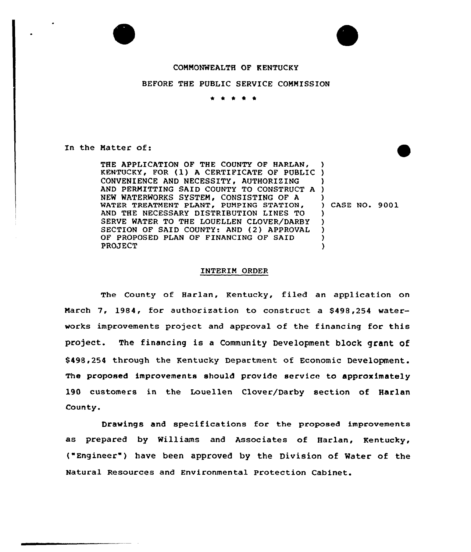## COMMONWEALTH OF KENTUCKY

## BEFORE THE PUBLIC SERVICE COMMISSION

 $\begin{array}{cccccccccccccc} \bullet & \bullet & \bullet & \bullet & \bullet & \bullet \end{array}$ 

In the Matter of:

THE APPLICATION OF THE COUNTY OF HARLAN, THE APPLICATION OF THE COUNTY OF HARLAN, )<br>KENTUCKY, FOR (1) A CERTIFICATE OF PUBLIC ) CONVENIENCE AND NECESSITY, AUTHORIZING AND PERMITTING SAID COUNTY TO CONSTRUCT A NEW WATERWORKS SYSTEM, CONSISTING OF A WATER TREATMENT PLANT, PUMPING STATION, AND THE NECESSARY DISTRIBUTION LINES TO SERVE WATER TO THE LOUELLEN CLOVER/DARBY SECTION OF SAID COUNTY: AND (2) APPROVAL OF PROPOSED PLAN OF FINANCING OF SAID **PROJECT** ) ) )  $\lambda$ ) CASE NO. 9001 ) ) ) ) )

## INTERIM ORDER

The County of Harlan, Kentucky, filed an application on March 7, 1984, for authorization to construct a \$498,254 waterworks improvements project and approval of the financing for this project. The financing is <sup>a</sup> Community Development block grant of \$498,254 through the Kentucky Department of Economic Development. The proposed improvements should provide service to approximately 190 customers in the Louellen Clover/Darby section of Harlan County.

Drawings and specifications for the proposed improvements as prepared by Williams and Associates of Harlan, Kentucky, ( Engineer" ) have been approved by the Division of Water of the Natural Resources and Environmental Protection Cabinet.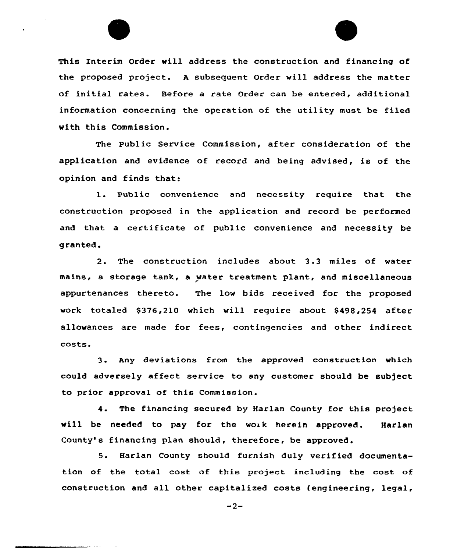



This Interim Order will address the construction and financing of the proposed project. <sup>A</sup> subsequent Order will address the matter of initial rates. Before a rate Order can be entered, additional information concerning the operation of the utility must be filed with this Commission.

The Public Service Commission, after consideration of the application and evidence of record and being advised, is of the opinion and finds that:

l. Public convenience and necessity require that the construction proposed in the application and record be performed and that a certificate of public convenience and necessity be granted.

2. The construction includes about 3.3 miles of water mains, a storage tank, a water treatment plant, and miscellaneous appurtenances thereto. The low bids received for the proposed work totaled \$376,210 which will require about \$498,254 after allowances are made fcr fees, contingencies and other indirect costs.

3. Any deviations from the approved construction which could adversely affect service to any customer should be subject to prior approval of this Commission.

4. The financing secured by Harlan County for this project will be needed to pay for the work herein approved. Harlan County's financing plan should, therefore, be approved.

5. Harlan County should furnish duly verified documentation of the total cost af this project including the cost of construction and all other capitalized costs (engineering, legal,

 $-2-$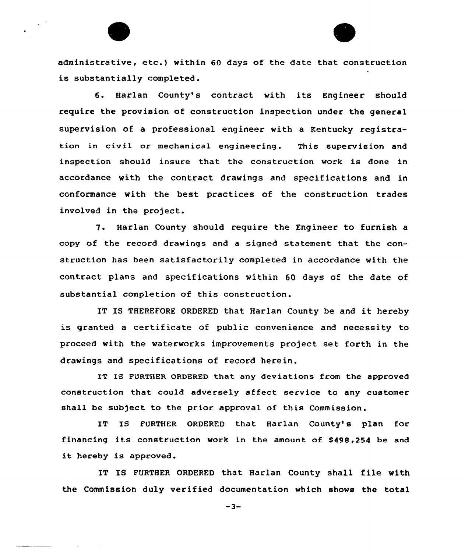administrative, etc.) within <sup>60</sup> days of the date that construction is substantially completed.

6. Harlan County's contract with its Engineer should require the provision of construction inspection under the general supervision of a professional engineer with a Kentucky registration in civil or mechanical engineering. This supervision and inspection should insure that the construction work is done in accordance with the contract drawings and specifications and in conformance with the best practices of the construction trades involved in the project.

7. Harlan County should require the Engineer to furnish a copy of the record drawings and a signed statement that, the construction has been satisfactorily completed in accordance with the contract plans and specifications within 60 days of the date of substantial completion of this construction.

IT IS THEREFORE ORDERED that Harlan County be and it hereby is granted a certificate of public convenience and necessity to proceed with the waterworks improvements project set forth in the drawings and specifications of record herein.

IT IS FURTHER ORDERED that any deviations from the approved construction that could adversely affect service to any customer shall be subject to the prior approval of this Commission.

IT IS FURTHER ORDERED that Harlan County's plan for financing its construction work in the amount of \$498,254 be and it hereby is approved.

IT IS FURTHER ORDERED that Harlan County shall file with the Commission duly verified documentation which shows the total

 $-3-$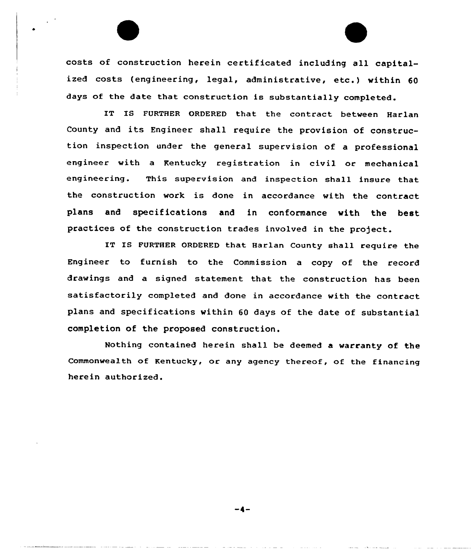costs of construction herein certificated including all capitalized costs (engineering, legal, administrative, etc.) within 60 days of the date that construction is substantially completed.

IT IS FURTHER ORDERED that the contract between Harlan County and its Engineer shall require the provision of construction inspection under the general supervision of a professional engineer with a Kentucky registration in civil or mechanical engineering. This supervision and inspection shall insure that the construction work is done in accordance with the contract plans and specifications and in conformance with the best practices of the construction trades involved in the project.

IT IS FURTHER ORDERED that Harlan County shall require the Engineer to furnish to the Commission a copy of the record drawings and a signed statement that the construction has been satisfactorily completed and done in accordance with the contract plans and specifications within 60 days of the date of substantial completion of the proposed construction.

Nothing contained herein shall be deemed a warranty of the Commonwealth of Kentucky, or any agency thereof, of the financing herein authorized.

-4-